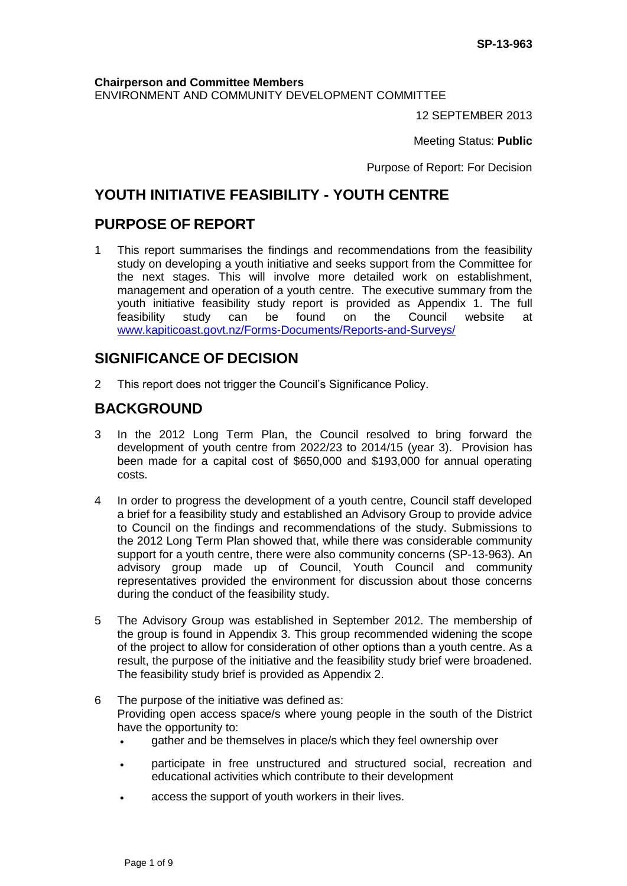**Chairperson and Committee Members** ENVIRONMENT AND COMMUNITY DEVELOPMENT COMMITTEE

12 SEPTEMBER 2013

Meeting Status: **Public**

Purpose of Report: For Decision

# **YOUTH INITIATIVE FEASIBILITY - YOUTH CENTRE**

## **PURPOSE OF REPORT**

1 This report summarises the findings and recommendations from the feasibility study on developing a youth initiative and seeks support from the Committee for the next stages. This will involve more detailed work on establishment, management and operation of a youth centre. The executive summary from the youth initiative feasibility study report is provided as Appendix 1. The full feasibility study can be found on the Council website at [www.kapiticoast.govt.nz/Forms-Documents/Reports-and-Surveys/](http://www.kapiticoast.govt.nz/Forms-Documents/Reports-and-Surveys/)

## **SIGNIFICANCE OF DECISION**

2 This report does not trigger the Council's Significance Policy.

## **BACKGROUND**

- 3 In the 2012 Long Term Plan, the Council resolved to bring forward the development of youth centre from 2022/23 to 2014/15 (year 3). Provision has been made for a capital cost of \$650,000 and \$193,000 for annual operating costs.
- 4 In order to progress the development of a youth centre, Council staff developed a brief for a feasibility study and established an Advisory Group to provide advice to Council on the findings and recommendations of the study. Submissions to the 2012 Long Term Plan showed that, while there was considerable community support for a youth centre, there were also community concerns (SP-13-963). An advisory group made up of Council, Youth Council and community representatives provided the environment for discussion about those concerns during the conduct of the feasibility study.
- 5 The Advisory Group was established in September 2012. The membership of the group is found in Appendix 3. This group recommended widening the scope of the project to allow for consideration of other options than a youth centre. As a result, the purpose of the initiative and the feasibility study brief were broadened. The feasibility study brief is provided as Appendix 2.
- 6 The purpose of the initiative was defined as: Providing open access space/s where young people in the south of the District have the opportunity to:
	- gather and be themselves in place/s which they feel ownership over
	- participate in free unstructured and structured social, recreation and educational activities which contribute to their development
	- access the support of youth workers in their lives.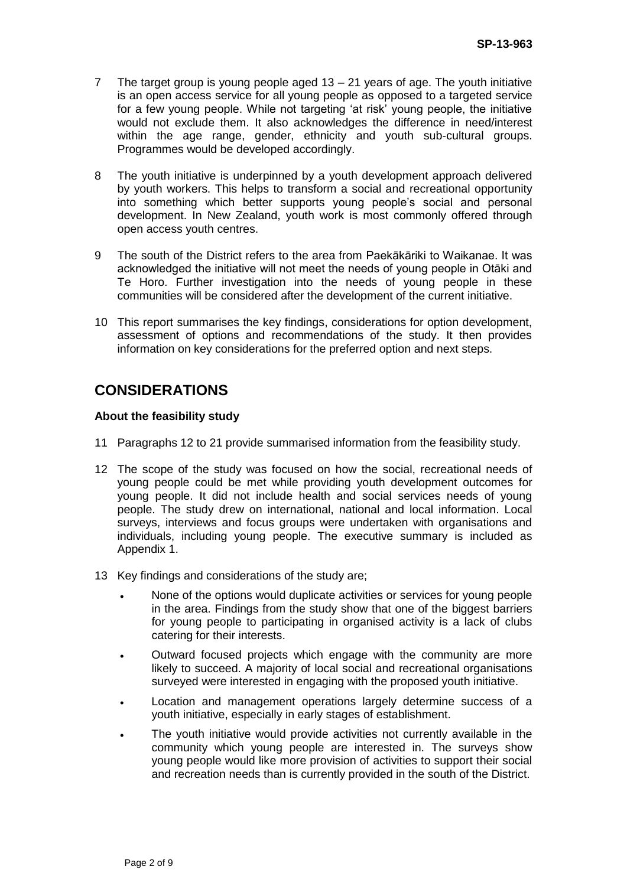- 7 The target group is young people aged 13 21 years of age. The youth initiative is an open access service for all young people as opposed to a targeted service for a few young people. While not targeting 'at risk' young people, the initiative would not exclude them. It also acknowledges the difference in need/interest within the age range, gender, ethnicity and youth sub-cultural groups. Programmes would be developed accordingly.
- 8 The youth initiative is underpinned by a youth development approach delivered by youth workers. This helps to transform a social and recreational opportunity into something which better supports young people's social and personal development. In New Zealand, youth work is most commonly offered through open access youth centres.
- 9 The south of the District refers to the area from Paekākāriki to Waikanae. It was acknowledged the initiative will not meet the needs of young people in Otāki and Te Horo. Further investigation into the needs of young people in these communities will be considered after the development of the current initiative.
- 10 This report summarises the key findings, considerations for option development, assessment of options and recommendations of the study. It then provides information on key considerations for the preferred option and next steps.

# **CONSIDERATIONS**

### **About the feasibility study**

- 11 Paragraphs 12 to 21 provide summarised information from the feasibility study.
- 12 The scope of the study was focused on how the social, recreational needs of young people could be met while providing youth development outcomes for young people. It did not include health and social services needs of young people. The study drew on international, national and local information. Local surveys, interviews and focus groups were undertaken with organisations and individuals, including young people. The executive summary is included as Appendix 1.
- 13 Key findings and considerations of the study are;
	- None of the options would duplicate activities or services for young people in the area. Findings from the study show that one of the biggest barriers for young people to participating in organised activity is a lack of clubs catering for their interests.
	- Outward focused projects which engage with the community are more likely to succeed. A majority of local social and recreational organisations surveyed were interested in engaging with the proposed youth initiative.
	- Location and management operations largely determine success of a youth initiative, especially in early stages of establishment.
	- The youth initiative would provide activities not currently available in the community which young people are interested in. The surveys show young people would like more provision of activities to support their social and recreation needs than is currently provided in the south of the District.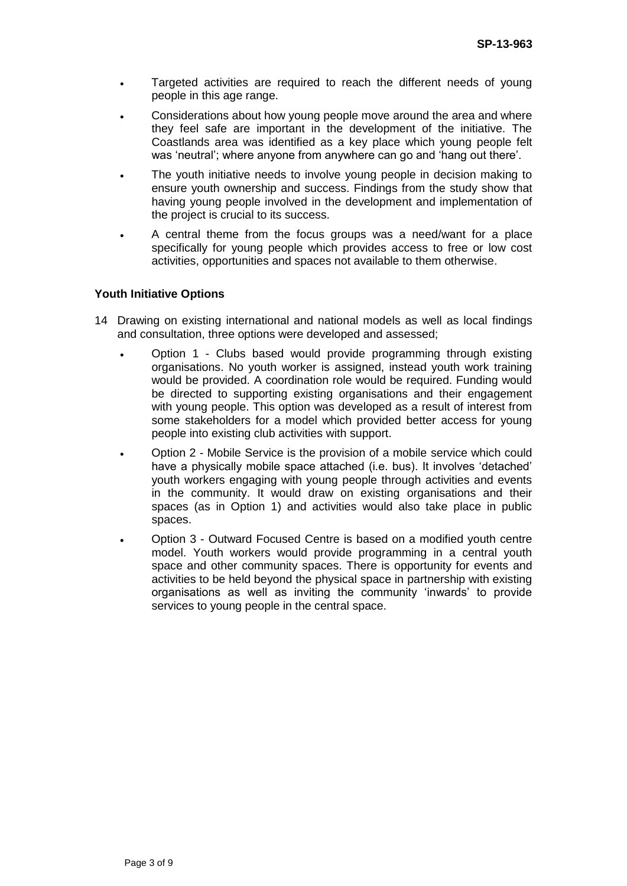- Targeted activities are required to reach the different needs of young people in this age range.
- Considerations about how young people move around the area and where they feel safe are important in the development of the initiative. The Coastlands area was identified as a key place which young people felt was 'neutral'; where anyone from anywhere can go and 'hang out there'.
- The youth initiative needs to involve young people in decision making to ensure youth ownership and success. Findings from the study show that having young people involved in the development and implementation of the project is crucial to its success.
- A central theme from the focus groups was a need/want for a place specifically for young people which provides access to free or low cost activities, opportunities and spaces not available to them otherwise.

### **Youth Initiative Options**

- 14 Drawing on existing international and national models as well as local findings and consultation, three options were developed and assessed;
	- Option 1 Clubs based would provide programming through existing organisations. No youth worker is assigned, instead youth work training would be provided. A coordination role would be required. Funding would be directed to supporting existing organisations and their engagement with young people. This option was developed as a result of interest from some stakeholders for a model which provided better access for young people into existing club activities with support.
	- Option 2 Mobile Service is the provision of a mobile service which could have a physically mobile space attached (i.e. bus). It involves 'detached' youth workers engaging with young people through activities and events in the community. It would draw on existing organisations and their spaces (as in Option 1) and activities would also take place in public spaces.
	- Option 3 Outward Focused Centre is based on a modified youth centre model. Youth workers would provide programming in a central youth space and other community spaces. There is opportunity for events and activities to be held beyond the physical space in partnership with existing organisations as well as inviting the community 'inwards' to provide services to young people in the central space.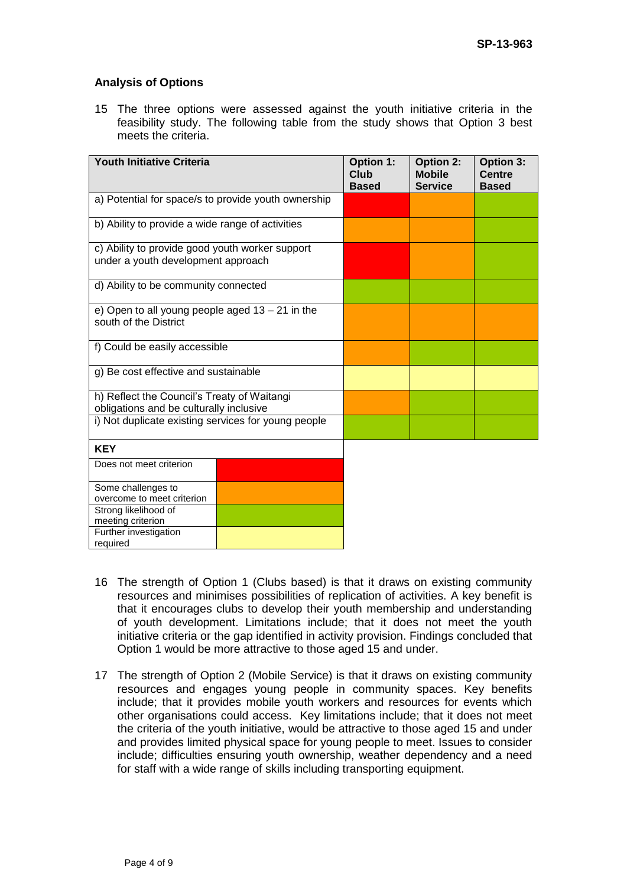### **Analysis of Options**

15 The three options were assessed against the youth initiative criteria in the feasibility study. The following table from the study shows that Option 3 best meets the criteria.

| Youth Initiative Criteria                                                             | <b>Option 1:</b><br>Club<br><b>Based</b> | <b>Option 2:</b><br><b>Mobile</b><br><b>Service</b> | Option 3:<br>Centre<br><b>Based</b> |
|---------------------------------------------------------------------------------------|------------------------------------------|-----------------------------------------------------|-------------------------------------|
| a) Potential for space/s to provide youth ownership                                   |                                          |                                                     |                                     |
| b) Ability to provide a wide range of activities                                      |                                          |                                                     |                                     |
| c) Ability to provide good youth worker support<br>under a youth development approach |                                          |                                                     |                                     |
| d) Ability to be community connected                                                  |                                          |                                                     |                                     |
| e) Open to all young people aged $13 - 21$ in the<br>south of the District            |                                          |                                                     |                                     |
| f) Could be easily accessible                                                         |                                          |                                                     |                                     |
| g) Be cost effective and sustainable                                                  |                                          |                                                     |                                     |
| h) Reflect the Council's Treaty of Waitangi                                           |                                          |                                                     |                                     |
| obligations and be culturally inclusive                                               |                                          |                                                     |                                     |
| i) Not duplicate existing services for young people                                   |                                          |                                                     |                                     |
| <b>KEY</b>                                                                            |                                          |                                                     |                                     |
| Does not meet criterion                                                               |                                          |                                                     |                                     |

| Does not meet criterion    |  |
|----------------------------|--|
| Some challenges to         |  |
| overcome to meet criterion |  |
| Strong likelihood of       |  |
| meeting criterion          |  |
| Further investigation      |  |
| required                   |  |

- 16 The strength of Option 1 (Clubs based) is that it draws on existing community resources and minimises possibilities of replication of activities. A key benefit is that it encourages clubs to develop their youth membership and understanding of youth development. Limitations include; that it does not meet the youth initiative criteria or the gap identified in activity provision. Findings concluded that Option 1 would be more attractive to those aged 15 and under.
- 17 The strength of Option 2 (Mobile Service) is that it draws on existing community resources and engages young people in community spaces. Key benefits include; that it provides mobile youth workers and resources for events which other organisations could access. Key limitations include; that it does not meet the criteria of the youth initiative, would be attractive to those aged 15 and under and provides limited physical space for young people to meet. Issues to consider include; difficulties ensuring youth ownership, weather dependency and a need for staff with a wide range of skills including transporting equipment.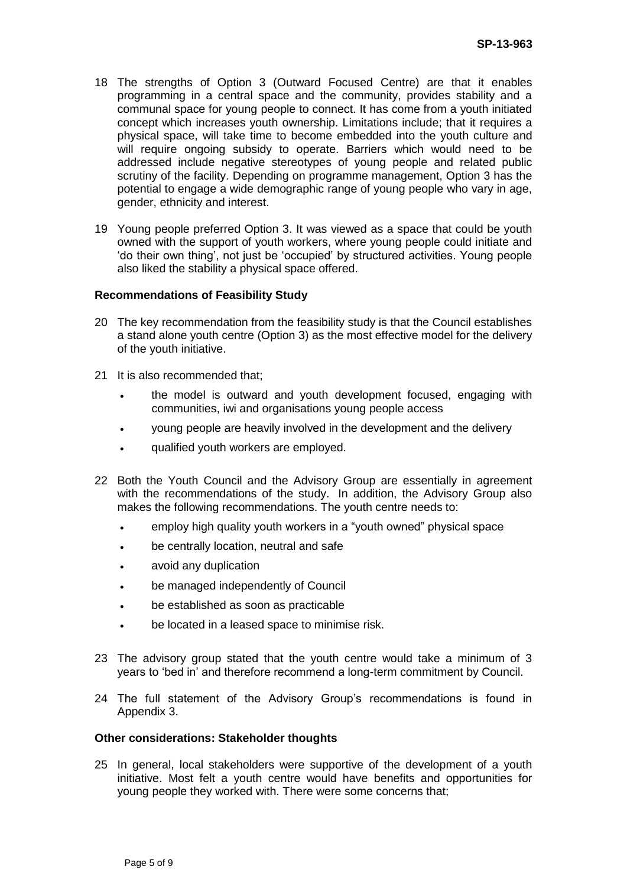- 18 The strengths of Option 3 (Outward Focused Centre) are that it enables programming in a central space and the community, provides stability and a communal space for young people to connect. It has come from a youth initiated concept which increases youth ownership. Limitations include; that it requires a physical space, will take time to become embedded into the youth culture and will require ongoing subsidy to operate. Barriers which would need to be addressed include negative stereotypes of young people and related public scrutiny of the facility. Depending on programme management, Option 3 has the potential to engage a wide demographic range of young people who vary in age, gender, ethnicity and interest.
- 19 Young people preferred Option 3. It was viewed as a space that could be youth owned with the support of youth workers, where young people could initiate and 'do their own thing', not just be 'occupied' by structured activities. Young people also liked the stability a physical space offered.

#### **Recommendations of Feasibility Study**

- 20 The key recommendation from the feasibility study is that the Council establishes a stand alone youth centre (Option 3) as the most effective model for the delivery of the youth initiative.
- 21 It is also recommended that;
	- the model is outward and youth development focused, engaging with communities, iwi and organisations young people access
	- young people are heavily involved in the development and the delivery
	- qualified youth workers are employed.
- 22 Both the Youth Council and the Advisory Group are essentially in agreement with the recommendations of the study. In addition, the Advisory Group also makes the following recommendations. The youth centre needs to:
	- employ high quality youth workers in a "youth owned" physical space
	- be centrally location, neutral and safe
	- avoid any duplication
	- be managed independently of Council
	- be established as soon as practicable
	- be located in a leased space to minimise risk.
- 23 The advisory group stated that the youth centre would take a minimum of 3 years to 'bed in' and therefore recommend a long-term commitment by Council.
- 24 The full statement of the Advisory Group's recommendations is found in Appendix 3.

#### **Other considerations: Stakeholder thoughts**

25 In general, local stakeholders were supportive of the development of a youth initiative. Most felt a youth centre would have benefits and opportunities for young people they worked with. There were some concerns that;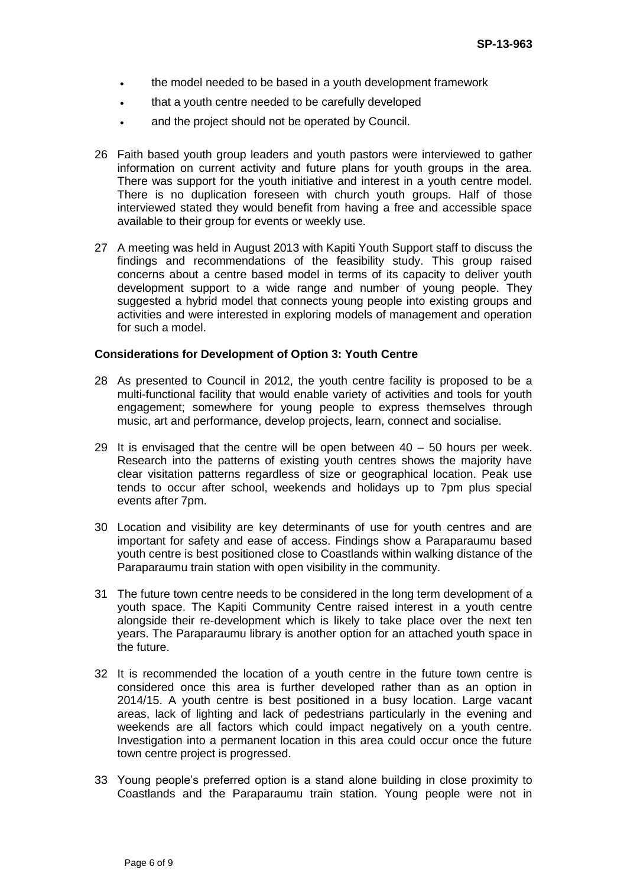- . the model needed to be based in a youth development framework
- that a youth centre needed to be carefully developed
- and the project should not be operated by Council.
- 26 Faith based youth group leaders and youth pastors were interviewed to gather information on current activity and future plans for youth groups in the area. There was support for the youth initiative and interest in a youth centre model. There is no duplication foreseen with church youth groups. Half of those interviewed stated they would benefit from having a free and accessible space available to their group for events or weekly use.
- 27 A meeting was held in August 2013 with Kapiti Youth Support staff to discuss the findings and recommendations of the feasibility study. This group raised concerns about a centre based model in terms of its capacity to deliver youth development support to a wide range and number of young people. They suggested a hybrid model that connects young people into existing groups and activities and were interested in exploring models of management and operation for such a model.

### **Considerations for Development of Option 3: Youth Centre**

- 28 As presented to Council in 2012, the youth centre facility is proposed to be a multi-functional facility that would enable variety of activities and tools for youth engagement; somewhere for young people to express themselves through music, art and performance, develop projects, learn, connect and socialise.
- 29 It is envisaged that the centre will be open between  $40 50$  hours per week. Research into the patterns of existing youth centres shows the majority have clear visitation patterns regardless of size or geographical location. Peak use tends to occur after school, weekends and holidays up to 7pm plus special events after 7pm.
- 30 Location and visibility are key determinants of use for youth centres and are important for safety and ease of access. Findings show a Paraparaumu based youth centre is best positioned close to Coastlands within walking distance of the Paraparaumu train station with open visibility in the community.
- 31 The future town centre needs to be considered in the long term development of a youth space. The Kapiti Community Centre raised interest in a youth centre alongside their re-development which is likely to take place over the next ten years. The Paraparaumu library is another option for an attached youth space in the future.
- 32 It is recommended the location of a youth centre in the future town centre is considered once this area is further developed rather than as an option in 2014/15. A youth centre is best positioned in a busy location. Large vacant areas, lack of lighting and lack of pedestrians particularly in the evening and weekends are all factors which could impact negatively on a youth centre. Investigation into a permanent location in this area could occur once the future town centre project is progressed.
- 33 Young people's preferred option is a stand alone building in close proximity to Coastlands and the Paraparaumu train station. Young people were not in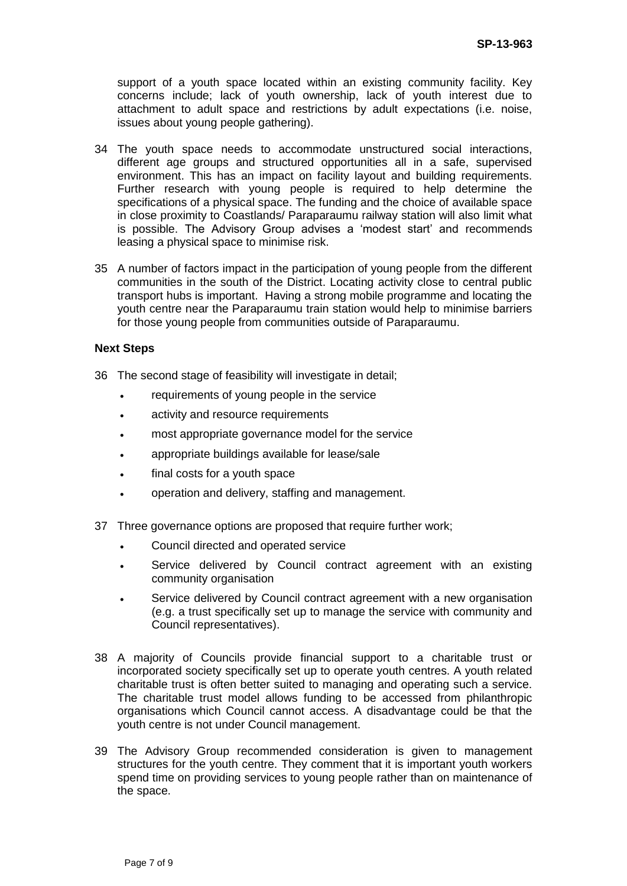support of a youth space located within an existing community facility. Key concerns include; lack of youth ownership, lack of youth interest due to attachment to adult space and restrictions by adult expectations (i.e. noise, issues about young people gathering).

- 34 The youth space needs to accommodate unstructured social interactions, different age groups and structured opportunities all in a safe, supervised environment. This has an impact on facility layout and building requirements. Further research with young people is required to help determine the specifications of a physical space. The funding and the choice of available space in close proximity to Coastlands/ Paraparaumu railway station will also limit what is possible. The Advisory Group advises a 'modest start' and recommends leasing a physical space to minimise risk.
- 35 A number of factors impact in the participation of young people from the different communities in the south of the District. Locating activity close to central public transport hubs is important. Having a strong mobile programme and locating the youth centre near the Paraparaumu train station would help to minimise barriers for those young people from communities outside of Paraparaumu.

### **Next Steps**

- 36 The second stage of feasibility will investigate in detail;
	- requirements of young people in the service
	- activity and resource requirements
	- most appropriate governance model for the service
	- appropriate buildings available for lease/sale
	- final costs for a youth space
	- operation and delivery, staffing and management.
- 37 Three governance options are proposed that require further work;
	- Council directed and operated service
	- Service delivered by Council contract agreement with an existing community organisation
	- Service delivered by Council contract agreement with a new organisation (e.g. a trust specifically set up to manage the service with community and Council representatives).
- 38 A majority of Councils provide financial support to a charitable trust or incorporated society specifically set up to operate youth centres. A youth related charitable trust is often better suited to managing and operating such a service. The charitable trust model allows funding to be accessed from philanthropic organisations which Council cannot access. A disadvantage could be that the youth centre is not under Council management.
- 39 The Advisory Group recommended consideration is given to management structures for the youth centre. They comment that it is important youth workers spend time on providing services to young people rather than on maintenance of the space.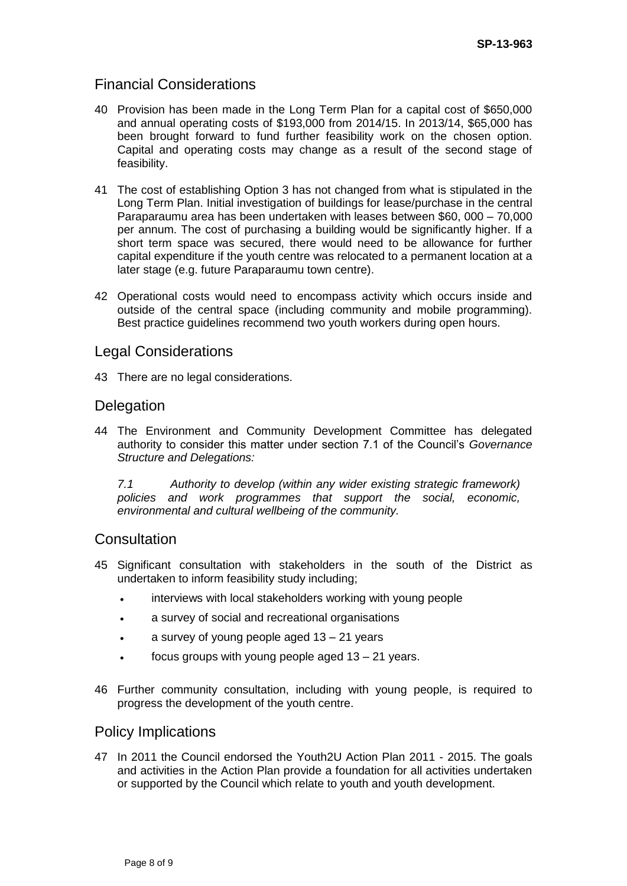## Financial Considerations

- 40 Provision has been made in the Long Term Plan for a capital cost of \$650,000 and annual operating costs of \$193,000 from 2014/15. In 2013/14, \$65,000 has been brought forward to fund further feasibility work on the chosen option. Capital and operating costs may change as a result of the second stage of feasibility.
- 41 The cost of establishing Option 3 has not changed from what is stipulated in the Long Term Plan. Initial investigation of buildings for lease/purchase in the central Paraparaumu area has been undertaken with leases between \$60, 000 – 70,000 per annum. The cost of purchasing a building would be significantly higher. If a short term space was secured, there would need to be allowance for further capital expenditure if the youth centre was relocated to a permanent location at a later stage (e.g. future Paraparaumu town centre).
- 42 Operational costs would need to encompass activity which occurs inside and outside of the central space (including community and mobile programming). Best practice guidelines recommend two youth workers during open hours.

### Legal Considerations

43 There are no legal considerations.

### **Delegation**

44 The Environment and Community Development Committee has delegated authority to consider this matter under section 7.1 of the Council's *Governance Structure and Delegations:*

*7.1 Authority to develop (within any wider existing strategic framework) policies and work programmes that support the social, economic, environmental and cultural wellbeing of the community.* 

### **Consultation**

- 45 Significant consultation with stakeholders in the south of the District as undertaken to inform feasibility study including;
	- interviews with local stakeholders working with young people
	- a survey of social and recreational organisations
	- a survey of young people aged 13 21 years
	- focus groups with young people aged 13 21 years.
- 46 Further community consultation, including with young people, is required to progress the development of the youth centre.

### Policy Implications

47 In 2011 the Council endorsed the Youth2U Action Plan 2011 - 2015. The goals and activities in the Action Plan provide a foundation for all activities undertaken or supported by the Council which relate to youth and youth development.